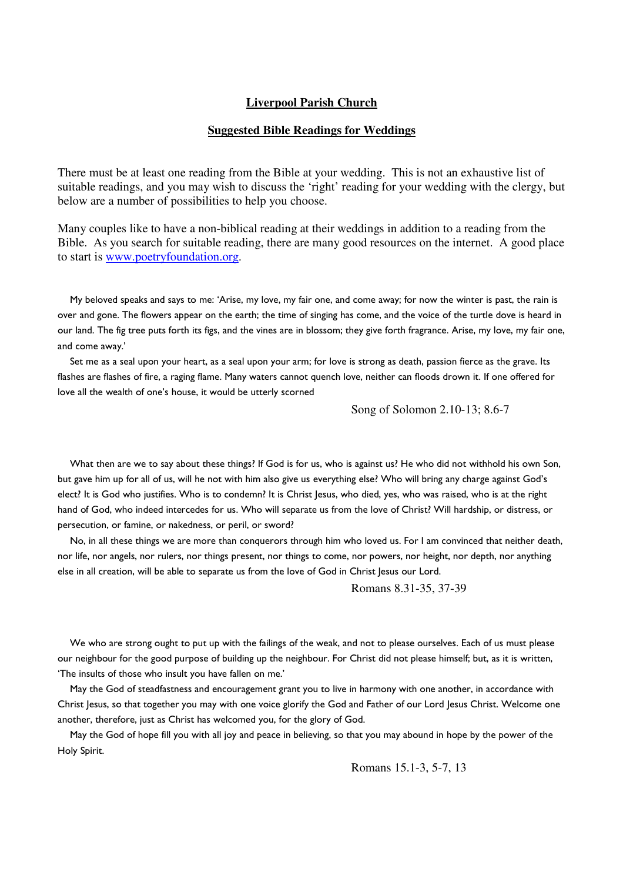# **Liverpool Parish Church**

### **Suggested Bible Readings for Weddings**

There must be at least one reading from the Bible at your wedding. This is not an exhaustive list of suitable readings, and you may wish to discuss the 'right' reading for your wedding with the clergy, but below are a number of possibilities to help you choose.

Many couples like to have a non-biblical reading at their weddings in addition to a reading from the Bible. As you search for suitable reading, there are many good resources on the internet. A good place to start is www.poetryfoundation.org.

My beloved speaks and says to me: 'Arise, my love, my fair one, and come away; for now the winter is past, the rain is over and gone. The flowers appear on the earth; the time of singing has come, and the voice of the turtle dove is heard in our land. The fig tree puts forth its figs, and the vines are in blossom; they give forth fragrance. Arise, my love, my fair one, and come away.'

Set me as a seal upon your heart, as a seal upon your arm; for love is strong as death, passion fierce as the grave. Its flashes are flashes of fire, a raging flame. Many waters cannot quench love, neither can floods drown it. If one offered for love all the wealth of one's house, it would be utterly scorned

Song of Solomon 2.10-13; 8.6-7

What then are we to say about these things? If God is for us, who is against us? He who did not withhold his own Son, but gave him up for all of us, will he not with him also give us everything else? Who will bring any charge against God's elect? It is God who justifies. Who is to condemn? It is Christ Jesus, who died, yes, who was raised, who is at the right hand of God, who indeed intercedes for us. Who will separate us from the love of Christ? Will hardship, or distress, or persecution, or famine, or nakedness, or peril, or sword?

No, in all these things we are more than conquerors through him who loved us. For I am convinced that neither death, nor life, nor angels, nor rulers, nor things present, nor things to come, nor powers, nor height, nor depth, nor anything else in all creation, will be able to separate us from the love of God in Christ Jesus our Lord.

Romans 8.31-35, 37-39

We who are strong ought to put up with the failings of the weak, and not to please ourselves. Each of us must please our neighbour for the good purpose of building up the neighbour. For Christ did not please himself; but, as it is written, 'The insults of those who insult you have fallen on me.'

May the God of steadfastness and encouragement grant you to live in harmony with one another, in accordance with Christ Jesus, so that together you may with one voice glorify the God and Father of our Lord Jesus Christ. Welcome one another, therefore, just as Christ has welcomed you, for the glory of God.

May the God of hope fill you with all joy and peace in believing, so that you may abound in hope by the power of the Holy Spirit.

Romans 15.1-3, 5-7, 13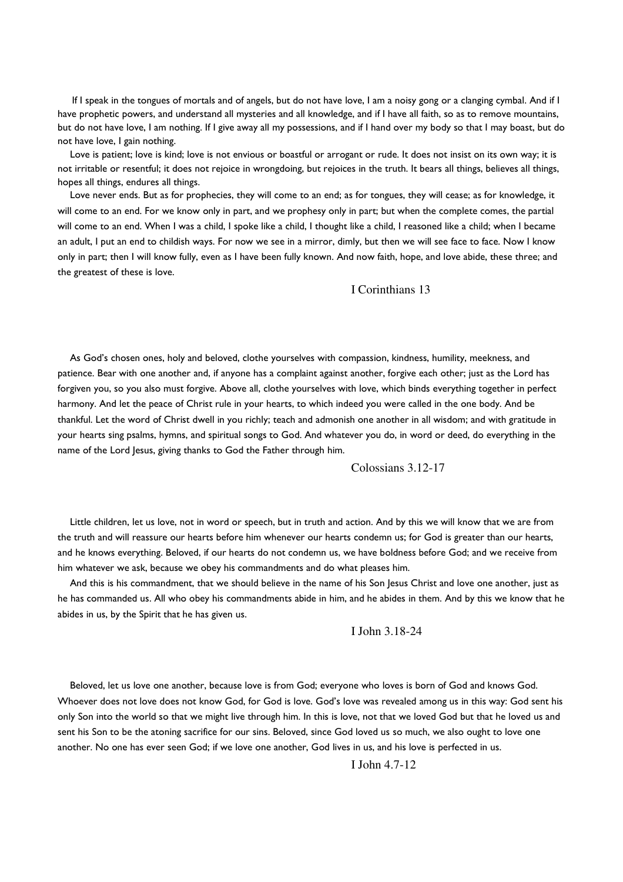If I speak in the tongues of mortals and of angels, but do not have love, I am a noisy gong or a clanging cymbal. And if I have prophetic powers, and understand all mysteries and all knowledge, and if I have all faith, so as to remove mountains, but do not have love, I am nothing. If I give away all my possessions, and if I hand over my body so that I may boast, but do not have love, I gain nothing.

Love is patient; love is kind; love is not envious or boastful or arrogant or rude. It does not insist on its own way; it is not irritable or resentful; it does not rejoice in wrongdoing, but rejoices in the truth. It bears all things, believes all things, hopes all things, endures all things.

Love never ends. But as for prophecies, they will come to an end; as for tongues, they will cease; as for knowledge, it will come to an end. For we know only in part, and we prophesy only in part; but when the complete comes, the partial will come to an end. When I was a child, I spoke like a child, I thought like a child, I reasoned like a child; when I became an adult, I put an end to childish ways. For now we see in a mirror, dimly, but then we will see face to face. Now I know only in part; then I will know fully, even as I have been fully known. And now faith, hope, and love abide, these three; and the greatest of these is love.

## I Corinthians 13

As God's chosen ones, holy and beloved, clothe yourselves with compassion, kindness, humility, meekness, and patience. Bear with one another and, if anyone has a complaint against another, forgive each other; just as the Lord has forgiven you, so you also must forgive. Above all, clothe yourselves with love, which binds everything together in perfect harmony. And let the peace of Christ rule in your hearts, to which indeed you were called in the one body. And be thankful. Let the word of Christ dwell in you richly; teach and admonish one another in all wisdom; and with gratitude in your hearts sing psalms, hymns, and spiritual songs to God. And whatever you do, in word or deed, do everything in the name of the Lord Jesus, giving thanks to God the Father through him.

Colossians 3.12-17

Little children, let us love, not in word or speech, but in truth and action. And by this we will know that we are from the truth and will reassure our hearts before him whenever our hearts condemn us; for God is greater than our hearts, and he knows everything. Beloved, if our hearts do not condemn us, we have boldness before God; and we receive from him whatever we ask, because we obey his commandments and do what pleases him.

And this is his commandment, that we should believe in the name of his Son Jesus Christ and love one another, just as he has commanded us. All who obey his commandments abide in him, and he abides in them. And by this we know that he abides in us, by the Spirit that he has given us.

#### I John 3.18-24

Beloved, let us love one another, because love is from God; everyone who loves is born of God and knows God. Whoever does not love does not know God, for God is love. God's love was revealed among us in this way: God sent his only Son into the world so that we might live through him. In this is love, not that we loved God but that he loved us and sent his Son to be the atoning sacrifice for our sins. Beloved, since God loved us so much, we also ought to love one another. No one has ever seen God; if we love one another, God lives in us, and his love is perfected in us.

I John 4.7-12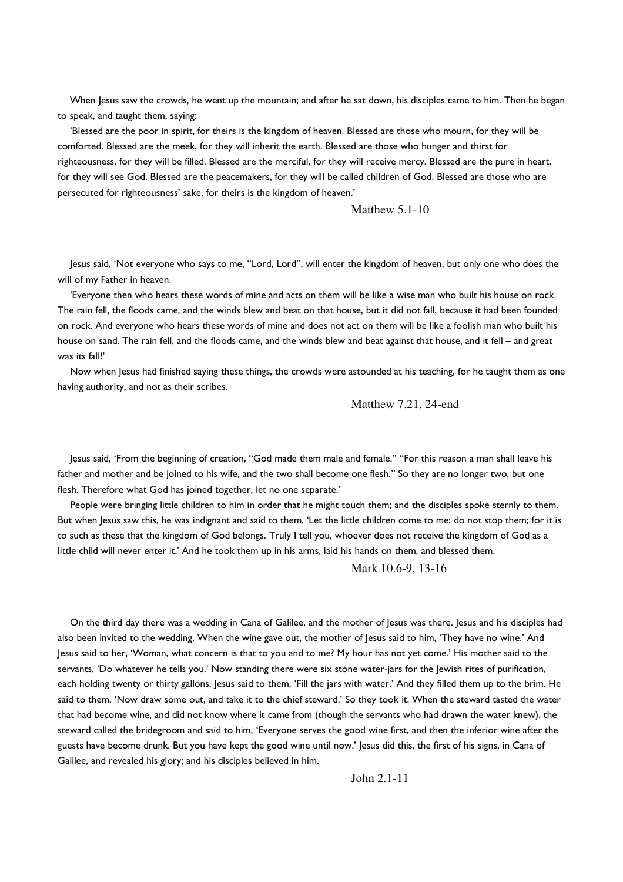When Jesus saw the crowds, he went up the mountain; and after he sat down, his disciples came to him. Then he began to speak, and taught them, saying:

'Blessed are the poor in spirit, for theirs is the kingdom of heaven. Blessed are those who mourn, for they will be comforted. Blessed are the meek, for they will inherit the earth. Blessed are those who hunger and thirst for righteousness, for they will be filled. Blessed are the merciful, for they will receive mercy. Blessed are the pure in heart, for they will see God. Blessed are the peacemakers, for they will be called children of God. Blessed are those who are persecuted for righteousness' sake, for theirs is the kingdom of heaven.'

## Matthew 5.1-10

Jesus said, 'Not everyone who says to me, "Lord, Lord", will enter the kingdom of heaven, but only one who does the will of my Father in heaven.

'Everyone then who hears these words of mine and acts on them will be like a wise man who built his house on rock. The rain fell, the floods came, and the winds blew and beat on that house, but it did not fall, because it had been founded on rock. And everyone who hears these words of mine and does not act on them will be like a foolish man who built his house on sand. The rain fell, and the floods came, and the winds blew and beat against that house, and it fell – and great was its fall!'

Now when Jesus had finished saying these things, the crowds were astounded at his teaching, for he taught them as one having authority, and not as their scribes.

Matthew 7.21, 24-end

Jesus said, 'From the beginning of creation, "God made them male and female." "For this reason a man shall leave his father and mother and be joined to his wife, and the two shall become one flesh." So they are no longer two, but one flesh. Therefore what God has joined together, let no one separate.'

People were bringing little children to him in order that he might touch them; and the disciples spoke sternly to them. But when Jesus saw this, he was indignant and said to them, 'Let the little children come to me; do not stop them; for it is to such as these that the kingdom of God belongs. Truly I tell you, whoever does not receive the kingdom of God as a little child will never enter it.' And he took them up in his arms, laid his hands on them, and blessed them.

Mark 10.6-9, 13-16

On the third day there was a wedding in Cana of Galilee, and the mother of Jesus was there. Jesus and his disciples had also been invited to the wedding. When the wine gave out, the mother of Jesus said to him, 'They have no wine.' And Jesus said to her, 'Woman, what concern is that to you and to me? My hour has not yet come.' His mother said to the servants, 'Do whatever he tells you.' Now standing there were six stone water-jars for the Jewish rites of purification, each holding twenty or thirty gallons. Jesus said to them, 'Fill the jars with water.' And they filled them up to the brim. He said to them, 'Now draw some out, and take it to the chief steward.' So they took it. When the steward tasted the water that had become wine, and did not know where it came from (though the servants who had drawn the water knew), the steward called the bridegroom and said to him, 'Everyone serves the good wine first, and then the inferior wine after the guests have become drunk. But you have kept the good wine until now.' Jesus did this, the first of his signs, in Cana of Galilee, and revealed his glory; and his disciples believed in him.

John 2.1-11